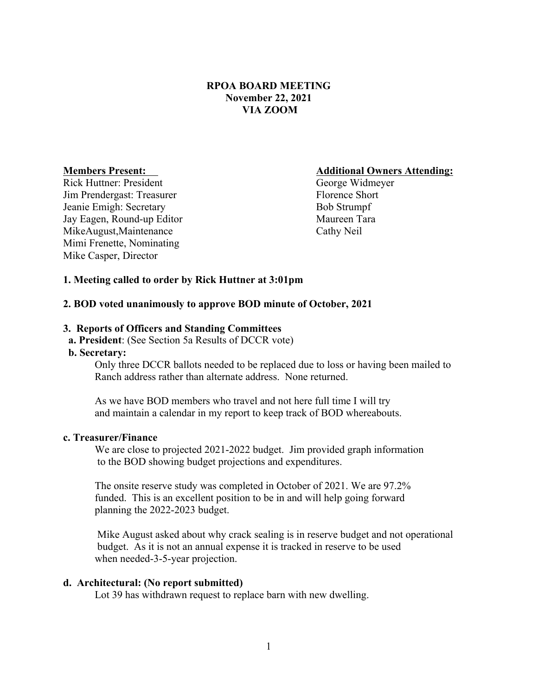# **RPOA BOARD MEETING November 22, 2021 VIA ZOOM**

Rick Huttner: President George Widmeyer Jim Prendergast: Treasurer Florence Short Florence Short Jeanie Emigh: Secretary Bob Strumpf Jay Eagen, Round-up Editor Maureen Tara MikeAugust,Maintenance Cathy Neil Mimi Frenette, Nominating Mike Casper, Director

#### **Members Present: Additional Owners Attending:**

## **1. Meeting called to order by Rick Huttner at 3:01pm**

#### **2. BOD voted unanimously to approve BOD minute of October, 2021**

### **3. Reports of Officers and Standing Committees**

 **a. President**: (See Section 5a Results of DCCR vote)

## **b. Secretary:**

Only three DCCR ballots needed to be replaced due to loss or having been mailed to Ranch address rather than alternate address. None returned.

As we have BOD members who travel and not here full time I will try and maintain a calendar in my report to keep track of BOD whereabouts.

### **c. Treasurer/Finance**

 We are close to projected 2021-2022 budget. Jim provided graph information to the BOD showing budget projections and expenditures.

The onsite reserve study was completed in October of 2021. We are 97.2% funded. This is an excellent position to be in and will help going forward planning the 2022-2023 budget.

 Mike August asked about why crack sealing is in reserve budget and not operational budget. As it is not an annual expense it is tracked in reserve to be used when needed-3-5-year projection.

#### **d. Architectural: (No report submitted)**

Lot 39 has withdrawn request to replace barn with new dwelling.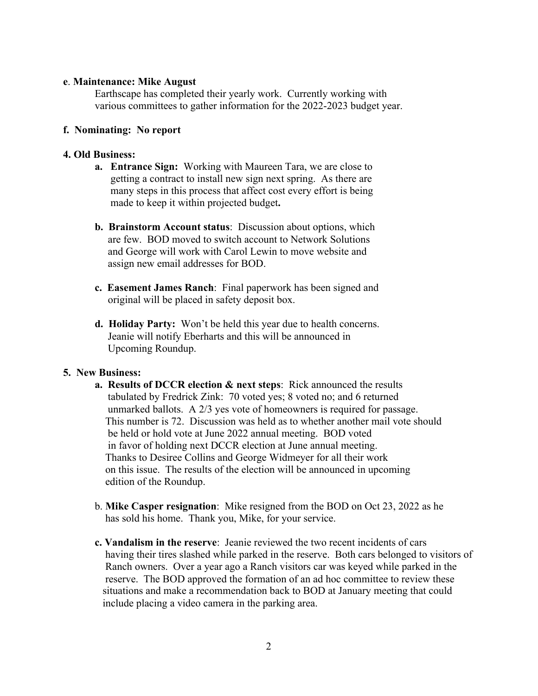## **e**. **Maintenance: Mike August**

Earthscape has completed their yearly work. Currently working with various committees to gather information for the 2022-2023 budget year.

## **f. Nominating: No report**

## **4. Old Business:**

- **a. Entrance Sign:** Working with Maureen Tara, we are close to getting a contract to install new sign next spring. As there are many steps in this process that affect cost every effort is being made to keep it within projected budget**.**
- **b. Brainstorm Account status**: Discussion about options, which are few. BOD moved to switch account to Network Solutions and George will work with Carol Lewin to move website and assign new email addresses for BOD.
- **c. Easement James Ranch**: Final paperwork has been signed and original will be placed in safety deposit box.
- **d. Holiday Party:** Won't be held this year due to health concerns. Jeanie will notify Eberharts and this will be announced in Upcoming Roundup.

## **5. New Business:**

- **a. Results of DCCR election & next steps**: Rick announced the results tabulated by Fredrick Zink: 70 voted yes; 8 voted no; and 6 returned unmarked ballots. A 2/3 yes vote of homeowners is required for passage. This number is 72. Discussion was held as to whether another mail vote should be held or hold vote at June 2022 annual meeting. BOD voted in favor of holding next DCCR election at June annual meeting. Thanks to Desiree Collins and George Widmeyer for all their work on this issue. The results of the election will be announced in upcoming edition of the Roundup.
- b. **Mike Casper resignation**: Mike resigned from the BOD on Oct 23, 2022 as he has sold his home. Thank you, Mike, for your service.
- **c. Vandalism in the reserve**: Jeanie reviewed the two recent incidents of cars having their tires slashed while parked in the reserve. Both cars belonged to visitors of Ranch owners. Over a year ago a Ranch visitors car was keyed while parked in the reserve. The BOD approved the formation of an ad hoc committee to review these situations and make a recommendation back to BOD at January meeting that could include placing a video camera in the parking area.